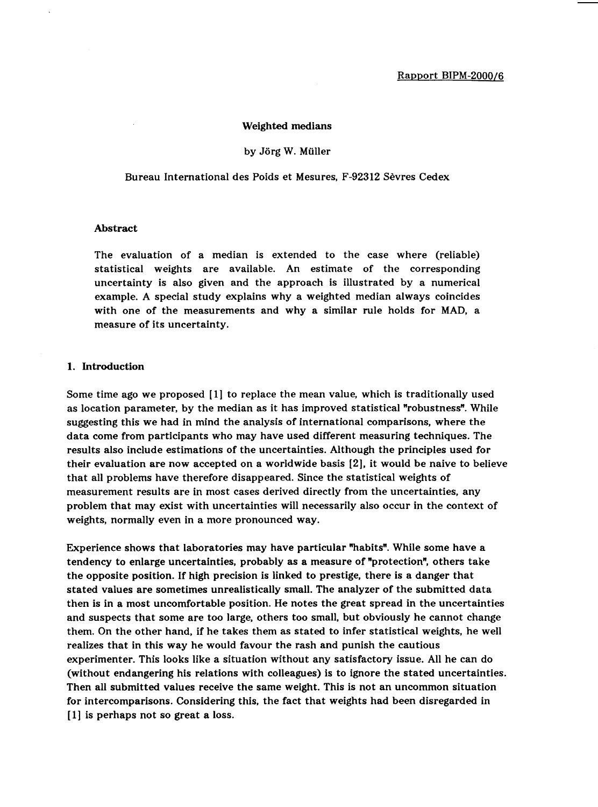## Weighted medians

#### by Jörg W. Müller

## Bureau International des Poids et Mesures, F-92312 Sevres Cedex

### Abstract

The evaluation of a median is extended to the case where (reliable) statistical weights are available. An estimate of the corresponding uncertainty is also given and the approach is illustrated by a numerical example. A special study explains why a weighted median always coincides with one of the measurements and why a similar rule holds for MAD, a measure of its uncertainty.

## 1. Introduction

Some time ago we proposed [1) to replace the mean value, which is traditionally used as location parameter, by the median as it has improved statistical "robustness". While suggesting this we had in mind the analysis of international comparisons, where the data come from participants who may have used different measuring techniques. The results also include estimations of the uncertainties. Although the principles used for their evaluation are now accepted on a worldwide basis (2), it would be naive to believe that all problems have therefore disappeared. Since the statistical weights of measurement results are in most cases derived directly from the uncertainties, any problem that may exist with uncertainties will necessarily also occur in the context of weights, normally even in a more pronounced way.

Experience shows that laboratories may have particular "habits". While some have a tendency to enlarge uncertainties, probably as a measure of "protection", others take the opposite position. If high precision is linked to prestige, there is a danger that stated values are sometimes unrealistically small. The analyzer of the submitted data then is in a most uncomfortable position. He notes the great spread in the uncertainties and suspects that some are too large, others too small, but obviously he cannot change them. On the other hand, if he takes them as stated to infer statistical weights, he well realizes that in this way he would favour the rash and punish the cautious experimenter. This looks like a situation without any satisfactory issue. All he can do (without endangering his relations with colleagues) is to ignore the stated uncertainties. Then all submitted values receive the same weight. This is not an uncommon situation for intercomparisons. Considering this, the fact that weights had been disregarded in [1) is perhaps not so great a loss.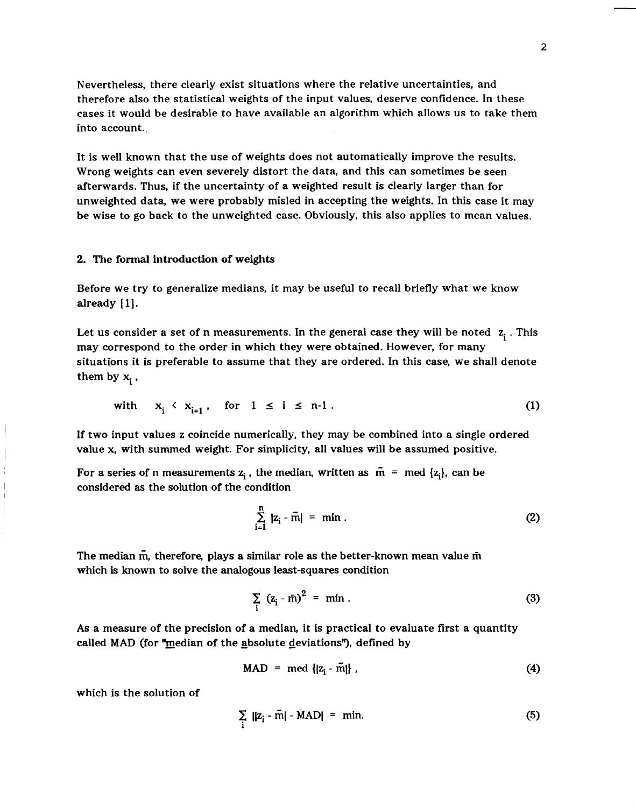Nevertheless, there clearly exist situations where the relative uncertainties, and therefore also the statistical weights of the input values, deserve confidence. In these cases it would be desirable to have available an algorithm which allows us to take them into account.

It is well known that the use of weights does not automatically improve the results. Wrong weights can even severely distort the data, and this can sometimes be seen afterwards. Thus, if the uncertainty of a weighted result is clearly larger than for unweighted data, we were probably misled in accepting the weights. In this case it may be wise to go back to the unweighted case. Obviously, this also applies to mean values.

## 2. The formal introduction of weights

Before we try to generalize medians, it may be useful to recall briefly what we know already [1].

Let us consider a set of n measurements. In the general case they will be noted  $z_i$ . This may correspond to the order in which they were obtained. However, for many situations it is preferable to assume that they are ordered. In this case, we shall denote them by  $x_i'$ ,

with 
$$
x_i \leftarrow x_{i+1}
$$
, for  $1 \leq i \leq n-1$ .  $(1)$ 

If two input values z coincide numerically, they may be combined into a single ordered value x, with summed weight. For simplicity, all values will be assumed positive.

For a series of n measurements  $z_i$ , the median, written as  $\tilde{m}$  = med  $\{z_i\}$ , can be considered as the solution of the condition

$$
\sum_{i=1}^{n} |z_i - \tilde{m}| = \min. \tag{2}
$$

The median  $\tilde{m}$ , therefore, plays a similar role as the better-known mean value  $\tilde{m}$ which is known to solve the analogous least-squares condition

$$
\sum_{i} (z_i - \bar{m})^2 = \min. \tag{3}
$$

As a measure of the precision of a median, it is practical to evaluate first a quantity called MAD (for "median of the absolute deviations"), defined by

$$
MAD = med \{|z_i - \tilde{m}|\}, \qquad (4)
$$

which is the solution of

$$
\sum_{i} ||z_i - \tilde{m}| - MAD|| = min. \tag{5}
$$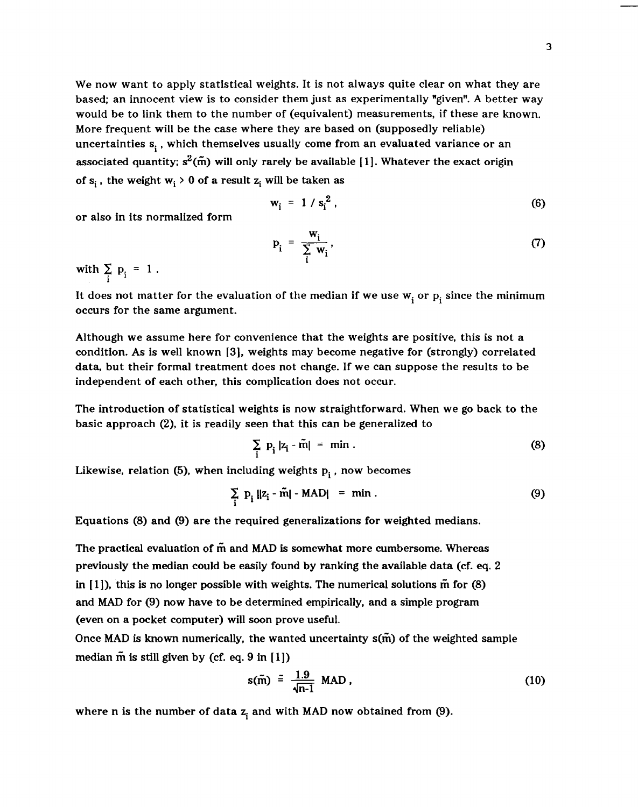We now want to apply statistical weights. It is not always quite clear on what they are based; an innocent view is to consider them just as experimentally "given". A better way would be to link them to the number of (equivalent) measurements, if these are known. More frequent will be the case where they are based on (supposedly reliable) uncertainties  $s_i$ , which themselves usually come from an evaluated variance or an associated quantity;  $s^2(\tilde{m})$  will only rarely be available [1]. Whatever the exact origin of  $s_i$ , the weight  $w_i > 0$  of a result  $z_i$  will be taken as

$$
\mathbf{w}_i = 1 / s_i^2 \tag{6}
$$

or also in its normalized form

$$
p_i = \frac{w_i}{\sum_i w_i},\tag{7}
$$

with  $\sum_i p_i = 1$ .

It does not matter for the evaluation of the median if we use  $w_i$  or  $p_i$  since the minimum occurs for the same argument.

Although we assume here for convenience that the weights are positive, this is not a condition. As is well known [3], weights may become negative for (strongly) correlated data, but their formal treatment does not change. If we can suppose the results to be independent of each other, this complication does not occur.

The introduction of statistical weights is now straightforward. When we go back to the basic approach (2), it is readily seen that this can be generalized to

$$
\sum_{i} p_i |z_i - \tilde{m}| = \min. \tag{8}
$$

Likewise, relation (5), when including weights  $p_i$ , now becomes

$$
\sum_{i} p_i ||z_i - \tilde{m}| - MAD| = min. \tag{9}
$$

Equations (8) and (9) are the required generalizations for weighted medians.

The practical evaluation of m and MAD is somewhat more cumbersome. Whereas previously the median could be easily found by ranking the available data (cf. eq. 2 in  $[1]$ ), this is no longer possible with weights. The numerical solutions  $\tilde{m}$  for  $(8)$ and MAD for (9) now have to be determined empirically, and a simple program (even on a pocket computer) will soon prove useful.

Once MAD is known numerically, the wanted uncertainty  $s(\tilde{m})$  of the weighted sample median  $\tilde{m}$  is still given by (cf. eq. 9 in [1])

$$
s(\tilde{m}) = \frac{1.9}{\sqrt{n-1}} \text{ MAD}, \qquad (10)
$$

where n is the number of data  $z<sub>i</sub>$  and with MAD now obtained from (9).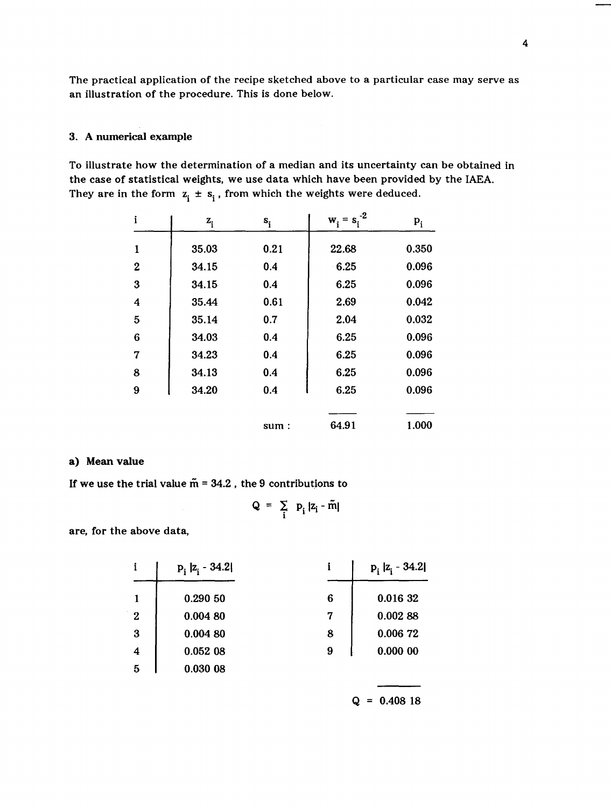The practical application of the recipe sketched above to a particular case may serve as an illustration of the procedure. This is done below.

# 3. A numerical example

To illustrate how the determination of a median and its uncertainty can be obtained in the case of statistical weights, we use data which have been provided by the IAEA. They are in the form  $z_i \pm s_i$ , from which the weights were deduced.

| i              | $z_i$ | $s_i$ | -2<br>$W_i = S_i$ | $P_i$ |
|----------------|-------|-------|-------------------|-------|
| 1              | 35.03 | 0.21  | 22.68             | 0.350 |
| $\overline{2}$ | 34.15 | 0.4   | 6.25              | 0.096 |
| 3              | 34.15 | 0.4   | 6.25              | 0.096 |
| 4              | 35.44 | 0.61  | 2.69              | 0.042 |
| 5              | 35.14 | 0.7   | 2.04              | 0.032 |
| 6              | 34.03 | 0.4   | 6.25              | 0.096 |
| 7              | 34.23 | 0.4   | 6.25              | 0.096 |
| 8              | 34.13 | 0.4   | 6.25              | 0.096 |
| 9              | 34.20 | 0.4   | 6.25              | 0.096 |
|                |       |       |                   |       |
|                |       | sum : | 64.91             | 1.000 |

## a) Mean value

If we use the trial value  $\tilde{m} = 34.2$ , the 9 contributions to

$$
Q~=~\sum_i~~p_i~|z_i-\tilde{m}|
$$

are, for the above data,

|                | $p_i  z_i - 34.2 $ |   | $p_i  z_i - 34.2 $ |
|----------------|--------------------|---|--------------------|
|                | 0.290 50           | 6 | 0.016 32           |
| $\overline{2}$ | 0.00480            | 7 | 0.00288            |
| 3              | 0.004 80           | 8 | 0.00672            |
| 4              | 0.05208            | 9 | 0.00000            |
| 5              | 0.030 08           |   |                    |

 $Q = 0.40818$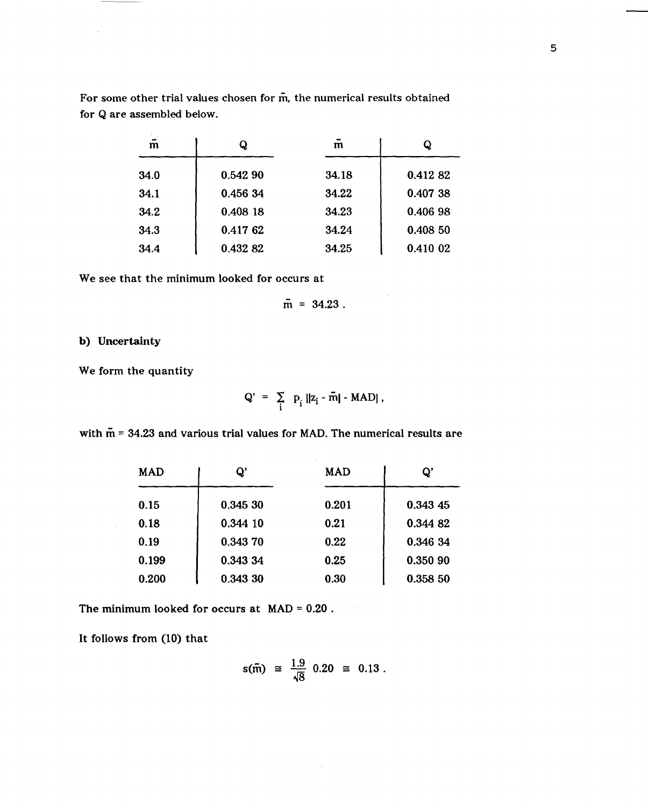For some other trial values chosen for  $\tilde{m}$ , the numerical results obtained for Q are assembled below.

| $\overline{\phantom{a}}$<br>m | Q        | $\tilde{\phantom{a}}$<br>m | Q        |
|-------------------------------|----------|----------------------------|----------|
| 34.0                          | 0.542 90 | 34.18                      | 0.41282  |
| 34.1                          | 0.456 34 | 34.22                      | 0.407 38 |
| 34.2                          | 0.408 18 | 34.23                      | 0.406.98 |
| 34.3                          | 0.417 62 | 34.24                      | 0.408 50 |
| 34.4                          | 0.432 82 | 34.25                      | 0.410 02 |

We see that the minimum looked for occurs at

 $\tilde{m} = 34.23$ .

# b) Uncertainty

 $\sim$ 

We form the quantity

$$
Q' = \sum_{i} p_i ||z_i - \tilde{m}| - MAD||,
$$

 $\mathcal{L}_{\mathrm{eff}}$ 

with  $\tilde{m}$  = 34.23 and various trial values for MAD. The numerical results are

| <b>MAD</b> | Ő,       | MAD   | Ő,       |
|------------|----------|-------|----------|
| 0.15       | 0.345 30 | 0.201 | 0.343 45 |
| 0.18       | 0.344 10 | 0.21  | 0.344 82 |
| 0.19       | 0.343 70 | 0.22  | 0.346 34 |
| 0.199      | 0.343 34 | 0.25  | 0.350 90 |
| 0.200      | 0.343 30 | 0.30  | 0.358 50 |

The minimum looked for occurs at  $MAD = 0.20$ .

It follows from (10) that

$$
s(\tilde{m}) \approx \frac{1.9}{\sqrt{8}} 0.20 \approx 0.13
$$
.

 $\bar{\gamma}$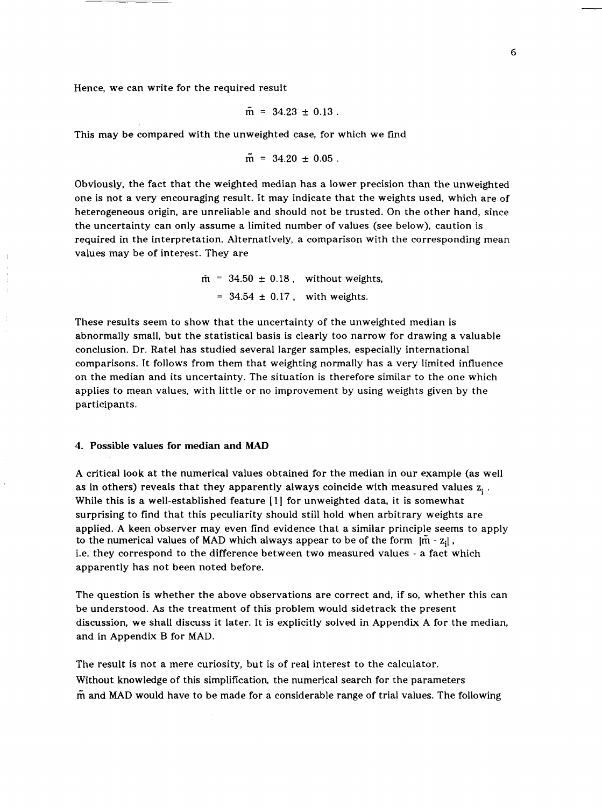Hence, we can write for the required result

$$
\tilde{m} = 34.23 \pm 0.13 \; .
$$

This may be compared with the unweighted case, for which we find

$$
\tilde{m} = 34.20 \pm 0.05 \ .
$$

Obviously, the fact that the weighted median has a lower precision than the unweighted one is not a very encouraging result. It may indicate that the weights used, which are of heterogeneous origin, are unreliable and should not be trusted. On the other hand, since the uncertainty can only assume a limited number of values (see below), caution is required in the interpretation. Alternatively, a comparison with the corresponding mean values may be of interest. They are

> $\hat{m}$  = 34.50  $\pm$  0.18, without weights,  $=$  34.54  $\pm$  0.17, with weights.

These results seem to show that the uncertainty of the unweighted median is abnormally small, but the statistical basis is clearly too narrow for drawing a valuable conclusion. Dr. Ratel has studied several larger samples, especially international comparisons. It follows from them that weighting normally has a very limited influence on the median and its uncertainty. The situation is therefore similar to the one which applies to mean values, with little or no improvement by using weights given by the participants.

#### 4. Possible values for median and MAD

A critical look at the numerical values obtained for the median in our example (as well as in others) reveals that they apparently always coincide with measured values  $z_i$ . While this is a well-established feature [1] for unweighted data, it is somewhat surprising to find that this peculiarity should still hold when arbitrary weights are applied. A keen observer may even find evidence that a similar principle seems to apply to the numerical values of MAD which always appear to be of the form  $|\tilde{m} - z_i|$ , i.e. they correspond to the difference between two measured values - a fact which apparently has not been noted before.

The question is whether the above observations are correct and, if so, whether this can be understood. As the treatment of this problem would sidetrack the present discussion, we shall discuss it later. It is explicitly solved in Appendix A for the median, and in Appendix B for MAD.

The result is not a mere curiosity, but is of real interest to the calculator. Without knowledge of this simplification, the numerical search for the parameters m and MAD would have to be made for a considerable range of trial values. The following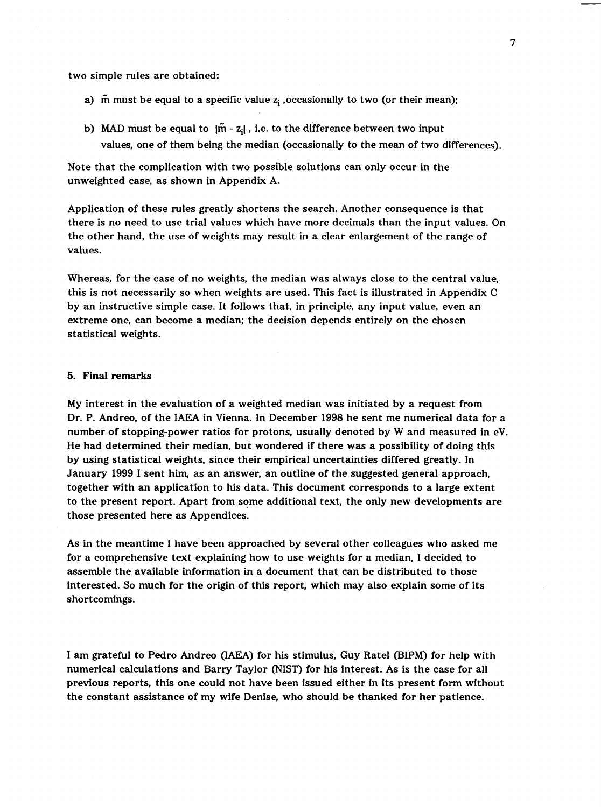two simple rules are obtained:

- a) m must be equal to a specific value  $z_i$ , occasionally to two (or their mean);
- b) MAD must be equal to  $|\tilde{m} z_i|$ , i.e. to the difference between two input values, one of them being the median (occasionally to the mean of two differences).

Note that the complication with two possible solutions can only occur in the unweighted case, as shown in Appendix A.

Application of these rules greatly shortens the search. Another consequence is that there is no need to use trial values which have more decimals than the input values. On the other hand, the use of weights may result in a clear enlargement of the range of values.

Whereas, for the case of no weights, the median was always close to the central value, this is not necessarily so when weights are used. This fact is illustrated in Appendix C by an instructive simple case. It follows that, in principle, any input value, even an extreme one, can become a median; the decision depends entirely on the chosen statistical weights.

# 5. Final remarks

My interest in the evaluation of a weighted median was initiated by a request from Dr. P. Andreo, of the lAEA in Vienna. In December 1998 he sent me numerical data for a number of stopping-power ratios for protons, usually denoted by Wand measured in eV. He had determined their median, but wondered if there was a possibility of doing this by using statistical weights, since their empirical uncertainties differed greatly. In January 1999 I sent him, as an answer, an outline of the suggested general approach, together with an application to his data. This document corresponds to a large extent to the present report. Apart from some additional text, the only new developments are those presented here as Appendices.

As in the meantime I have been approached by several other colleagues who asked me for a comprehensive text explaining how to use weights for a median, I decided to assemble the available information in a document that can be distributed to those interested. So much for the origin of this report, which may also explain some of its shortcomings.

I am grateful to Pedro Andreo (lAEA) for his stimulus, Guy Ratel (BIPM) for help with numerical calculations and Barry Taylor (NIST) for his interest. As is the case for all previous reports, this one could not have been issued either in its present form without the constant assistance of my wife Denise, who should be thanked for her patience.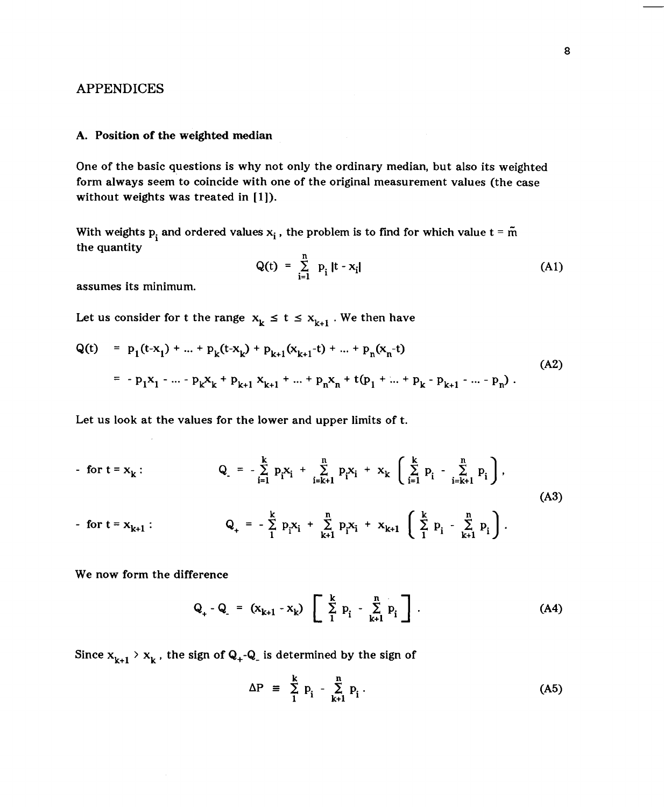# APPENDICES

## A. Position of the weighted median

One of the basic questions is why not only the ordinary median, but also its weighted form always seem to coincide with one of the original measurement values (the case without weights was treated in  $[1]$ ).

With weights  $P_i$  and ordered values  $x_i$ , the problem is to find for which value  $t = \tilde{m}$ the quantity

$$
Q(t) = \sum_{i=1}^{n} p_i |t - x_i|
$$
 (A1)

assumes its minimum.

Let us consider for t the range  $x_k \le t \le x_{k+1}$ . We then have

$$
Q(t) = p_1(t-x_1) + ... + p_k(t-x_k) + p_{k+1}(x_{k+1} - t) + ... + p_n(x_n - t)
$$
  
= -p<sub>1</sub>x<sub>1</sub> - ... - p<sub>k</sub>x<sub>k</sub> + p<sub>k+1</sub>x<sub>k+1</sub> + ... + p<sub>n</sub>x<sub>n</sub> + t(p<sub>1</sub> + ... + p<sub>k</sub> - p<sub>k+1</sub> - ... - p<sub>n</sub>). (A2)

Let us look at the values for the lower and upper limits of t.

- for 
$$
t = x_k
$$
:  
\nQ<sub>1</sub> = - $\sum_{i=1}^k p_i x_i$  +  $\sum_{i=k+1}^n p_i x_i$  +  $x_k \left( \sum_{i=1}^k p_i - \sum_{i=k+1}^n p_i \right)$ ,  
\n- for  $t = x_{k+1}$ :  
\nQ<sub>1</sub> = - $\sum_{i=1}^k p_i x_i$  +  $\sum_{k+1}^n p_i x_i$  +  $x_{k+1} \left( \sum_{i=1}^k p_i - \sum_{k+1}^n p_i \right)$ . (A3)

We now form the difference

$$
Q_{+} - Q_{-} = (x_{k+1} - x_k) \left[ \sum_{i=1}^{k} p_i - \sum_{k+1}^{n} p_i \right].
$$
 (A4)

Since  $x_{k+1} > x_k$ , the sign of  $Q_+ - Q_$  is determined by the sign of

$$
\Delta P = \sum_{1}^{k} p_i - \sum_{k+1}^{n} p_i.
$$
 (A5)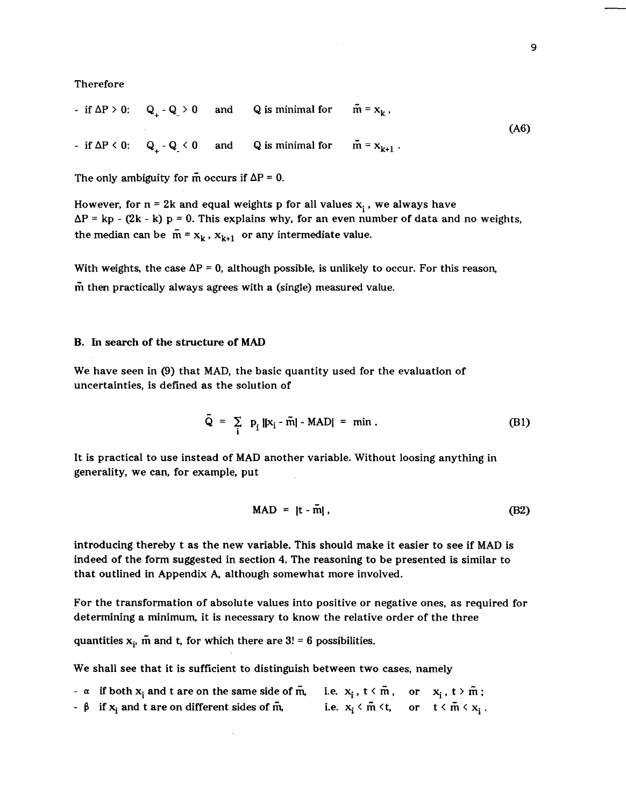Therefore

- if  $\Delta P > 0$ :  $Q_+ - Q_+ > 0$  and Q is minimal for  $\tilde{m} = x_k$ , (A6) - if  $\Delta P \le 0$ : Q<sub>1</sub> - Q<sub>2</sub>  $\le 0$  and Q is minimal for  $\tilde{m} = x_{k+1}$ .

The only ambiguity for  $\tilde{m}$  occurs if  $\Delta P = 0$ .

However, for  $n = 2k$  and equal weights p for all values  $x_i$ , we always have  $\Delta P$  = kp - (2k - k) p = 0. This explains why, for an even number of data and no weights, the median can be  $\tilde{m} = x_k$ ,  $x_{k+1}$  or any intermediate value.

With weights, the case  $\Delta P = 0$ , although possible, is unlikely to occur. For this reason, m then practically always agrees with a (single) measured value.

## B. In search of the structure of MAD

We have seen in (9) that MAD, the basic quantity used for the evaluation of uncertainties, is defined as the solution of

$$
\tilde{Q} = \sum_{i} p_i ||x_i - \tilde{m}| - MAD| = \min.
$$
 (B1)

It is practical to use instead of MAD another variable. Without loosing anything in generality, we can, for example, put

$$
MAD = |t - \tilde{m}|,
$$
 (B2)

introducing thereby t as the new variable. This should make it easier to see if MAD is indeed of the form suggested in section 4. The reasoning to be presented is similar to that outlined in Appendix A, although somewhat more involved.

For the transformation of absolute values into positive or negative ones, as required for determining a minimum, it is necessary to know the relative order of the three

quantities  $x_i$ , m and t, for which there are  $3! = 6$  possibilities.

We shall see that it is sufficient to distinguish between two cases, namely

-  $\alpha$  if both  $x_i$  and t are on the same side of  $\tilde{m}$ , i.e.  $x_i$ ,  $t \leq \tilde{m}$ , or  $x_i$ ,  $t \geq \tilde{m}$ ;  $\beta$  if  $x_i$  and t are on different sides of  $\tilde{m}$ , i.e.  $x_i < \tilde{m} < t$ , or  $t < \tilde{m} < x_i$ .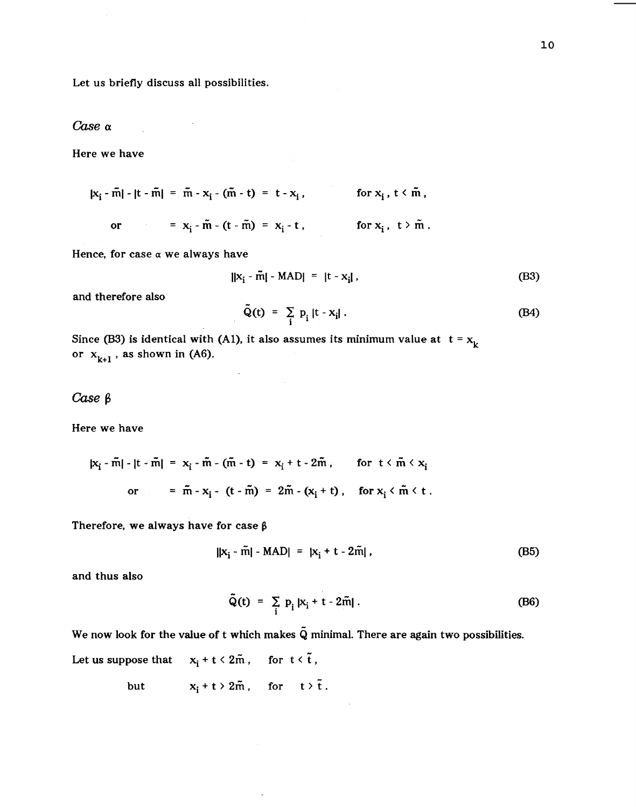Let us briefly discuss all possibilities.

 $Case \ \alpha$ 

Here we have

 $|x_i - \tilde{m}| - |t - \tilde{m}| = \tilde{m} - x_i - (\tilde{m} - t) = t - x_i,$  for  $x_i, t \leq \tilde{m}$ , or =  $x_i - \tilde{m} - (t - \tilde{m}) = x_i - t$ , for  $x_i$ ,  $t > \tilde{m}$ .

Hence, for case  $\alpha$  we always have

$$
||x_i - \tilde{m}| - MAD|| = |t - x_i|,
$$
 (B3)

and therefore also

$$
\tilde{Q}(t) = \sum_{i} p_i |t - x_i| \tag{B4}
$$

Since (B3) is identical with (A1), it also assumes its minimum value at  $t = x_k$ or  $x_{k+1}$ , as shown in (A6).

# $Case~\beta$

Here we have

$$
|x_{i} - \tilde{m}| - |t - \tilde{m}| = x_{i} - \tilde{m} - (\tilde{m} - t) = x_{i} + t - 2\tilde{m}, \quad \text{for } t < \tilde{m} < x_{i}
$$
  
or 
$$
= \tilde{m} - x_{i} - (t - \tilde{m}) = 2\tilde{m} - (x_{i} + t), \quad \text{for } x_{i} < \tilde{m} < t.
$$

Therefore, we always have for case  $\beta$ 

$$
||x_i - \tilde{m}| - MAD|| = |x_i + t - 2\tilde{m}|,
$$
 (B5)

and thus also

$$
\tilde{Q}(t) = \sum_{i} p_i |x_i + t - 2\tilde{m}|.
$$
 (B6)

We now look for the value of t which makes  $\tilde{Q}$  minimal. There are again two possibilities.

Let us suppose that  $x_i + t \leq 2\tilde{m}$ , for  $t \leq \tilde{t}$ ,

but  $x_i + t > 2\tilde{m}$ , for  $t > \tilde{t}$ .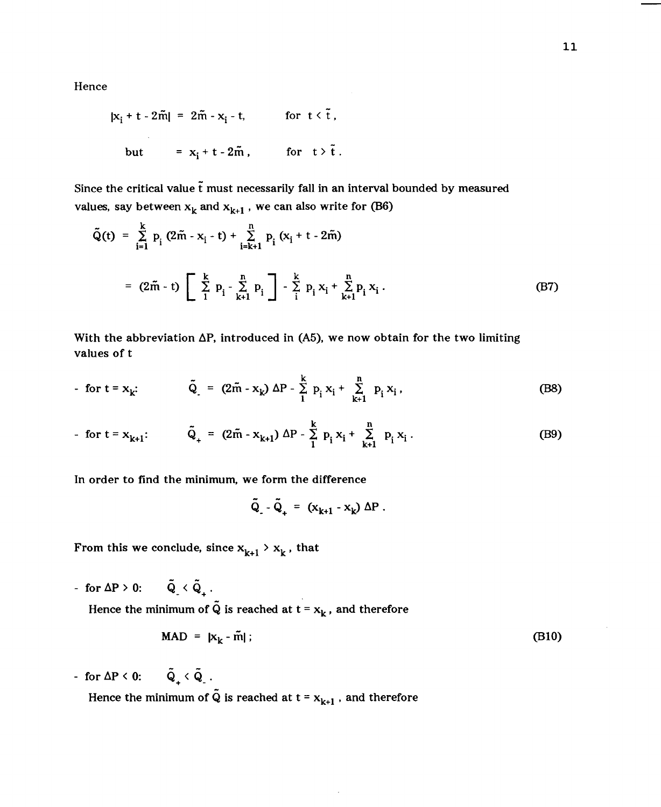Hence

$$
|x_{i} + t - 2\tilde{m}| = 2\tilde{m} - x_{i} - t, \qquad \text{for } t < \tilde{t},
$$
  
but = x\_{i} + t - 2\tilde{m}, \qquad \text{for } t > \tilde{t}.

Since the critical value  $\tilde{t}$  must necessarily fall in an interval bounded by measured values, say between  $x_k$  and  $x_{k+1}$ , we can also write for (B6)

$$
\tilde{Q}(t) = \sum_{i=1}^{k} p_i (2\tilde{m} - x_i - t) + \sum_{i=k+1}^{n} p_i (x_i + t - 2\tilde{m})
$$
\n
$$
= (2\tilde{m} - t) \left[ \sum_{i=1}^{k} p_i - \sum_{k+1}^{n} p_i \right] - \sum_{i=1}^{k} p_i x_i + \sum_{k+1}^{n} p_i x_i.
$$
\n(B7)

With the abbreviation  $\Delta P$ , introduced in (A5), we now obtain for the two limiting values of t

- for 
$$
t = x_k
$$
:  
\n $\tilde{Q}_1 = (2\tilde{m} - x_k) \Delta P - \sum_{i=1}^{k} p_i x_i + \sum_{k=1}^{n} p_i x_i,$  (B8)

- for  $t = x_{k+1}$ :  $\tilde{Q}_+ = (2\tilde{m} - x_{k+1}) \Delta P - \sum_{i=1}^k p_i x_i + \sum_{k+1}^n p_i x_i$ . (B9)

In order to find the minimum, we form the difference

$$
\tilde{Q}_{.} - \tilde{Q}_{+} = (x_{k+1} - x_k) \Delta P.
$$

From this we conclude, since  $x_{k+1} > x_k$ , that

- for  $\Delta P > 0$ :  $\tilde{Q}_{x} < \tilde{Q}_{x}$ . Hence the minimum of  $\tilde{Q}$  is reached at  $t = x_k$ , and therefore

$$
MAD = |x_k - \tilde{m}|;
$$
 (B10)

- for  $\Delta P \le 0$ :  $\tilde{Q}_{\perp} \le \tilde{Q}_{\perp}$ . Hence the minimum of  $\tilde{Q}$  is reached at  $t = x_{k+1}$ , and therefore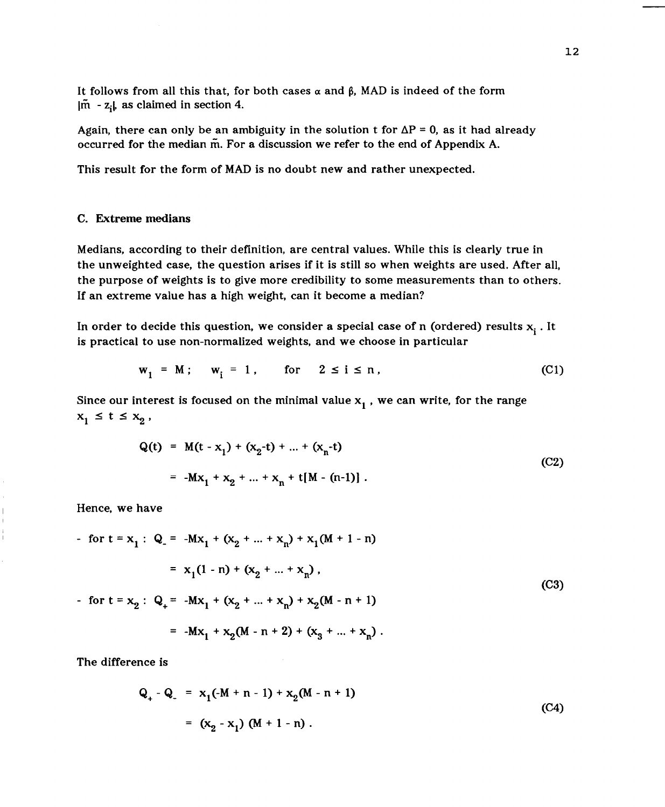It follows from all this that, for both cases  $\alpha$  and  $\beta$ , MAD is indeed of the form  $|\tilde{m} - z_i|$ , as claimed in section 4.

Again, there can only be an ambiguity in the solution t for  $\Delta P = 0$ , as it had already occurred for the median m. For a discussion we refer to the end of Appendix A.

This result for the form of MAD is no doubt new and rather unexpected.

## C. Extreme medians

Medians, according to their definition, are central values. While this is clearly true in the unweighted case, the question arises if it is still so when weights are used. After all, the purpose of weights is to give more credibility to some measurements than to others. If an extreme value has a high weight, can it become a median?

In order to decide this question, we consider a special case of n (ordered) results  $x_i$ . It is practical to use non-normalized weights, and we choose in particular

$$
\mathbf{w}_1 = \mathbf{M}; \quad \mathbf{w}_i = 1, \quad \text{for} \quad 2 \le i \le n,
$$
 (C1)

Since our interest is focused on the minimal value  $x_1$ , we can write, for the range  $x_1 \leq t \leq x_2$ ,

$$
Q(t) = M(t - x1) + (x2-t) + ... + (xn-t)
$$
  
= -Mx<sub>1</sub> + x<sub>2</sub> + ... + x<sub>n</sub> + t[M - (n-1)]. (C2)

Hence, we have

- for 
$$
t = x_1 : Q_0 = -Mx_1 + (x_2 + ... + x_n) + x_1(M + 1 - n)
$$
  
\n
$$
= x_1(1 - n) + (x_2 + ... + x_n),
$$
\n- for  $t = x_2 : Q_0 = -Mx_1 + (x_2 + ... + x_n) + x_2(M - n + 1)$   
\n
$$
= -Mx_1 + x_2(M - n + 2) + (x_3 + ... + x_n).
$$
\n(C3)

The difference is

$$
Q_{+} - Q_{-} = x_{1}(-M + n - 1) + x_{2}(M - n + 1)
$$
\n
$$
= (x_{2} - x_{1})(M + 1 - n).
$$
\n(C4)